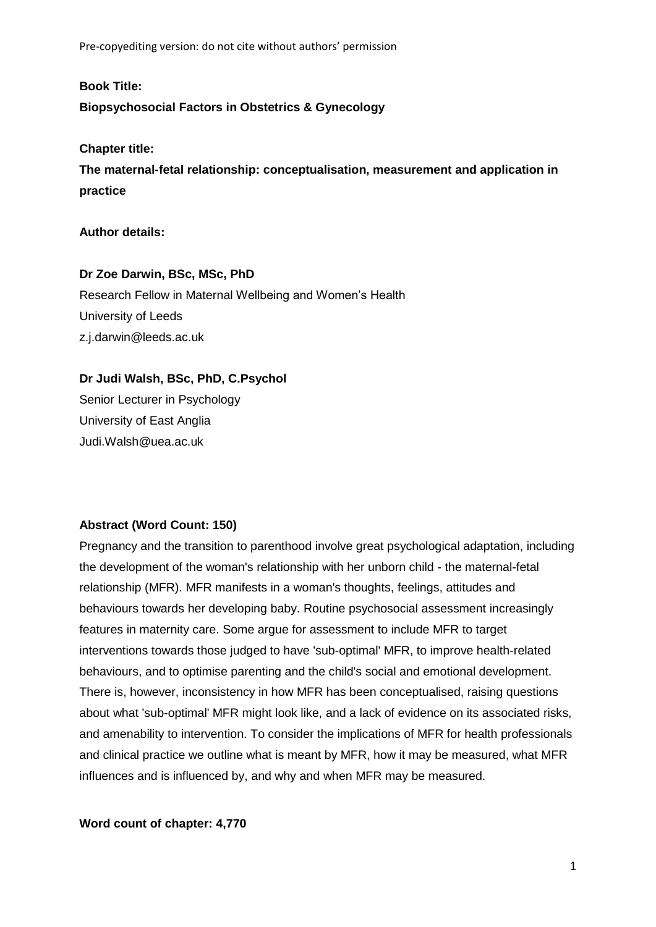Pre-copyediting version: do not cite without authors' permission

**Book Title: Biopsychosocial Factors in Obstetrics & Gynecology**

**Chapter title:** 

**The maternal-fetal relationship: conceptualisation, measurement and application in practice**

**Author details:**

**Dr Zoe Darwin, BSc, MSc, PhD** Research Fellow in Maternal Wellbeing and Women's Health University of Leeds [z.j.darwin@leeds.ac.uk](mailto:z.j.darwin@leeds.ac.uk)

**Dr Judi Walsh, BSc, PhD, C.Psychol** Senior Lecturer in Psychology University of East Anglia Judi.Walsh@uea.ac.uk

## **Abstract (Word Count: 150)**

Pregnancy and the transition to parenthood involve great psychological adaptation, including the development of the woman's relationship with her unborn child - the maternal-fetal relationship (MFR). MFR manifests in a woman's thoughts, feelings, attitudes and behaviours towards her developing baby. Routine psychosocial assessment increasingly features in maternity care. Some argue for assessment to include MFR to target interventions towards those judged to have 'sub-optimal' MFR, to improve health-related behaviours, and to optimise parenting and the child's social and emotional development. There is, however, inconsistency in how MFR has been conceptualised, raising questions about what 'sub-optimal' MFR might look like, and a lack of evidence on its associated risks, and amenability to intervention. To consider the implications of MFR for health professionals and clinical practice we outline what is meant by MFR, how it may be measured, what MFR influences and is influenced by, and why and when MFR may be measured.

**Word count of chapter: 4,770**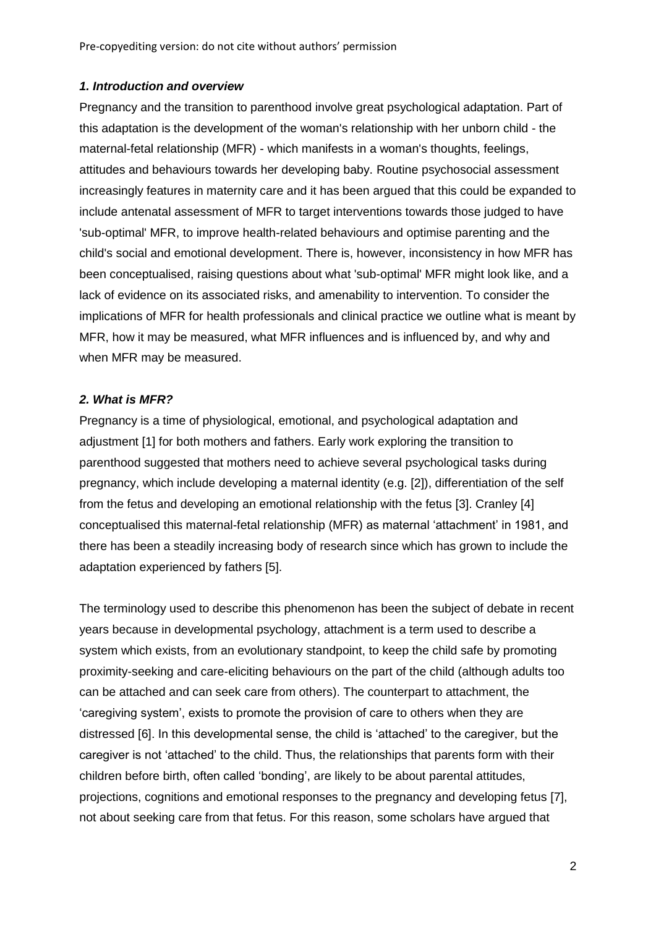Pre-copyediting version: do not cite without authors' permission

#### *1. Introduction and overview*

Pregnancy and the transition to parenthood involve great psychological adaptation. Part of this adaptation is the development of the woman's relationship with her unborn child - the maternal-fetal relationship (MFR) - which manifests in a woman's thoughts, feelings, attitudes and behaviours towards her developing baby. Routine psychosocial assessment increasingly features in maternity care and it has been argued that this could be expanded to include antenatal assessment of MFR to target interventions towards those judged to have 'sub-optimal' MFR, to improve health-related behaviours and optimise parenting and the child's social and emotional development. There is, however, inconsistency in how MFR has been conceptualised, raising questions about what 'sub-optimal' MFR might look like, and a lack of evidence on its associated risks, and amenability to intervention. To consider the implications of MFR for health professionals and clinical practice we outline what is meant by MFR, how it may be measured, what MFR influences and is influenced by, and why and when MFR may be measured.

#### *2. What is MFR?*

Pregnancy is a time of physiological, emotional, and psychological adaptation and adjustment [1] for both mothers and fathers. Early work exploring the transition to parenthood suggested that mothers need to achieve several psychological tasks during pregnancy, which include developing a maternal identity (e.g. [2]), differentiation of the self from the fetus and developing an emotional relationship with the fetus [3]. Cranley [4] conceptualised this maternal-fetal relationship (MFR) as maternal 'attachment' in 1981, and there has been a steadily increasing body of research since which has grown to include the adaptation experienced by fathers [5].

The terminology used to describe this phenomenon has been the subject of debate in recent years because in developmental psychology, attachment is a term used to describe a system which exists, from an evolutionary standpoint, to keep the child safe by promoting proximity-seeking and care-eliciting behaviours on the part of the child (although adults too can be attached and can seek care from others). The counterpart to attachment, the 'caregiving system', exists to promote the provision of care to others when they are distressed [6]. In this developmental sense, the child is 'attached' to the caregiver, but the caregiver is not 'attached' to the child. Thus, the relationships that parents form with their children before birth, often called 'bonding', are likely to be about parental attitudes, projections, cognitions and emotional responses to the pregnancy and developing fetus [7], not about seeking care from that fetus. For this reason, some scholars have argued that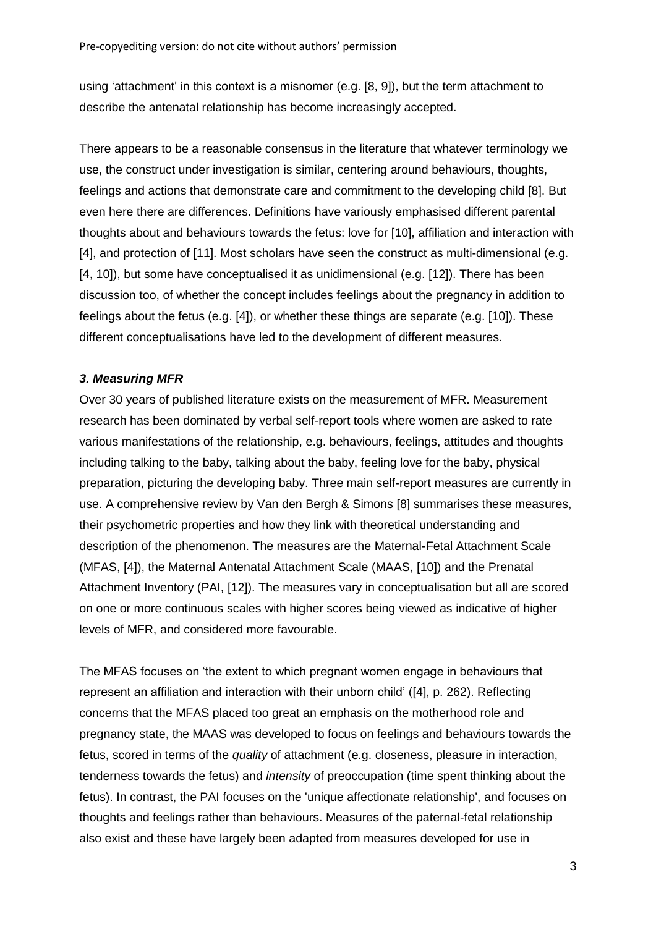using 'attachment' in this context is a misnomer (e.g. [8, 9]), but the term attachment to describe the antenatal relationship has become increasingly accepted.

There appears to be a reasonable consensus in the literature that whatever terminology we use, the construct under investigation is similar, centering around behaviours, thoughts, feelings and actions that demonstrate care and commitment to the developing child [8]. But even here there are differences. Definitions have variously emphasised different parental thoughts about and behaviours towards the fetus: love for [10], affiliation and interaction with [4], and protection of [11]. Most scholars have seen the construct as multi-dimensional (e.g. [4, 10]), but some have conceptualised it as unidimensional (e.g. [12]). There has been discussion too, of whether the concept includes feelings about the pregnancy in addition to feelings about the fetus (e.g. [4]), or whether these things are separate (e.g. [10]). These different conceptualisations have led to the development of different measures.

## *3. Measuring MFR*

Over 30 years of published literature exists on the measurement of MFR. Measurement research has been dominated by verbal self-report tools where women are asked to rate various manifestations of the relationship, e.g. behaviours, feelings, attitudes and thoughts including talking to the baby, talking about the baby, feeling love for the baby, physical preparation, picturing the developing baby. Three main self-report measures are currently in use. A comprehensive review by Van den Bergh & Simons [8] summarises these measures, their psychometric properties and how they link with theoretical understanding and description of the phenomenon. The measures are the Maternal-Fetal Attachment Scale (MFAS, [4]), the Maternal Antenatal Attachment Scale (MAAS, [10]) and the Prenatal Attachment Inventory (PAI, [12]). The measures vary in conceptualisation but all are scored on one or more continuous scales with higher scores being viewed as indicative of higher levels of MFR, and considered more favourable.

The MFAS focuses on 'the extent to which pregnant women engage in behaviours that represent an affiliation and interaction with their unborn child' ([4], p. 262). Reflecting concerns that the MFAS placed too great an emphasis on the motherhood role and pregnancy state, the MAAS was developed to focus on feelings and behaviours towards the fetus, scored in terms of the *quality* of attachment (e.g. closeness, pleasure in interaction, tenderness towards the fetus) and *intensity* of preoccupation (time spent thinking about the fetus). In contrast, the PAI focuses on the 'unique affectionate relationship', and focuses on thoughts and feelings rather than behaviours. Measures of the paternal-fetal relationship also exist and these have largely been adapted from measures developed for use in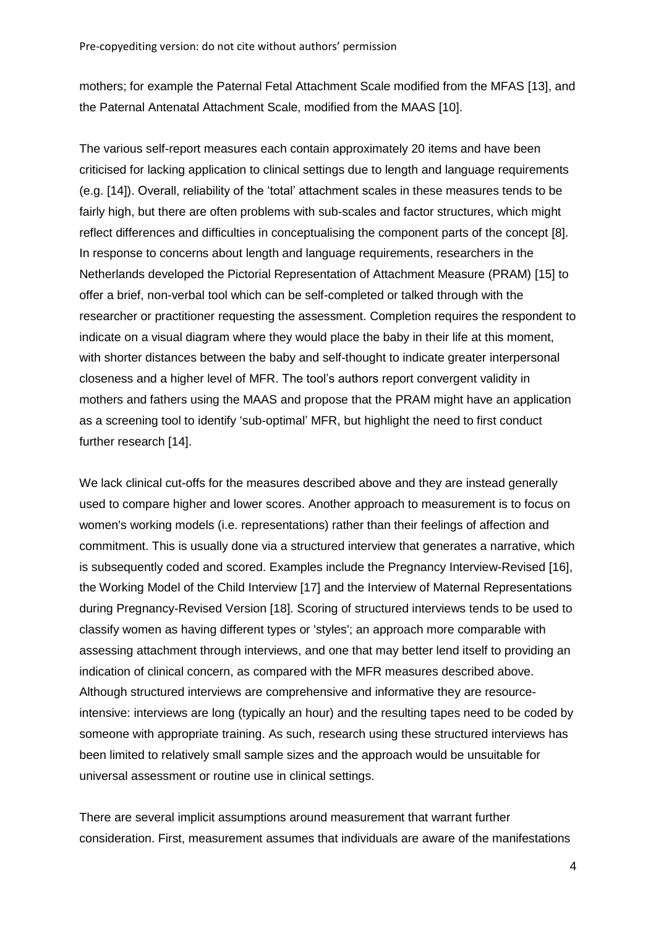mothers; for example the Paternal Fetal Attachment Scale modified from the MFAS [13], and the Paternal Antenatal Attachment Scale, modified from the MAAS [10].

The various self-report measures each contain approximately 20 items and have been criticised for lacking application to clinical settings due to length and language requirements (e.g. [14]). Overall, reliability of the 'total' attachment scales in these measures tends to be fairly high, but there are often problems with sub-scales and factor structures, which might reflect differences and difficulties in conceptualising the component parts of the concept [8]. In response to concerns about length and language requirements, researchers in the Netherlands developed the Pictorial Representation of Attachment Measure (PRAM) [15] to offer a brief, non-verbal tool which can be self-completed or talked through with the researcher or practitioner requesting the assessment. Completion requires the respondent to indicate on a visual diagram where they would place the baby in their life at this moment, with shorter distances between the baby and self-thought to indicate greater interpersonal closeness and a higher level of MFR. The tool's authors report convergent validity in mothers and fathers using the MAAS and propose that the PRAM might have an application as a screening tool to identify 'sub-optimal' MFR, but highlight the need to first conduct further research [14].

We lack clinical cut-offs for the measures described above and they are instead generally used to compare higher and lower scores. Another approach to measurement is to focus on women's working models (i.e. representations) rather than their feelings of affection and commitment. This is usually done via a structured interview that generates a narrative, which is subsequently coded and scored. Examples include the Pregnancy Interview-Revised [16], the Working Model of the Child Interview [17] and the Interview of Maternal Representations during Pregnancy-Revised Version [18]. Scoring of structured interviews tends to be used to classify women as having different types or 'styles'; an approach more comparable with assessing attachment through interviews, and one that may better lend itself to providing an indication of clinical concern, as compared with the MFR measures described above. Although structured interviews are comprehensive and informative they are resourceintensive: interviews are long (typically an hour) and the resulting tapes need to be coded by someone with appropriate training. As such, research using these structured interviews has been limited to relatively small sample sizes and the approach would be unsuitable for universal assessment or routine use in clinical settings.

There are several implicit assumptions around measurement that warrant further consideration. First, measurement assumes that individuals are aware of the manifestations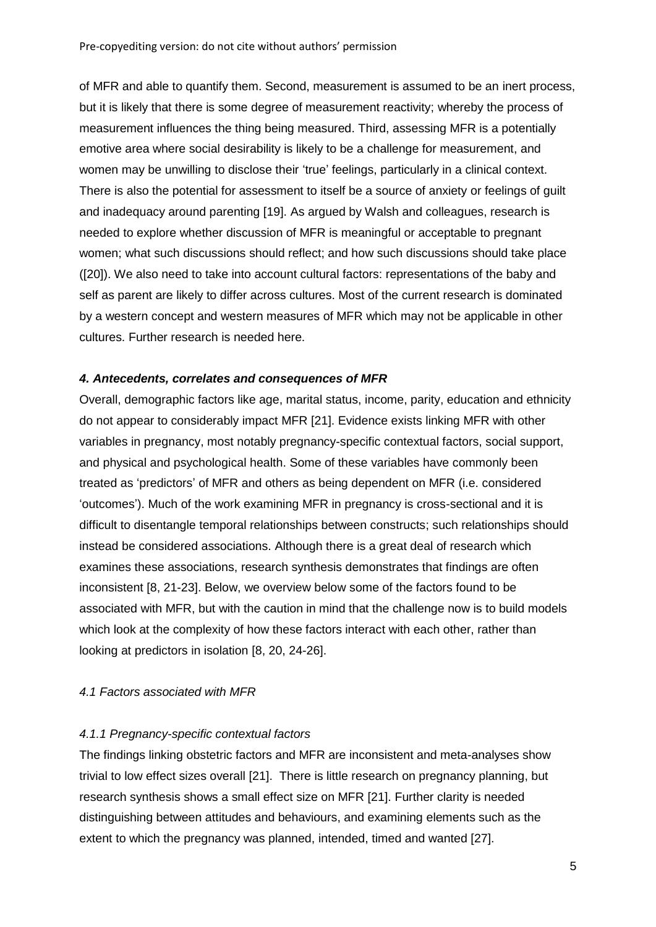of MFR and able to quantify them. Second, measurement is assumed to be an inert process, but it is likely that there is some degree of measurement reactivity; whereby the process of measurement influences the thing being measured. Third, assessing MFR is a potentially emotive area where social desirability is likely to be a challenge for measurement, and women may be unwilling to disclose their 'true' feelings, particularly in a clinical context. There is also the potential for assessment to itself be a source of anxiety or feelings of guilt and inadequacy around parenting [19]. As argued by Walsh and colleagues, research is needed to explore whether discussion of MFR is meaningful or acceptable to pregnant women; what such discussions should reflect; and how such discussions should take place ([20]). We also need to take into account cultural factors: representations of the baby and self as parent are likely to differ across cultures. Most of the current research is dominated by a western concept and western measures of MFR which may not be applicable in other cultures. Further research is needed here.

## *4. Antecedents, correlates and consequences of MFR*

Overall, demographic factors like age, marital status, income, parity, education and ethnicity do not appear to considerably impact MFR [21]. Evidence exists linking MFR with other variables in pregnancy, most notably pregnancy-specific contextual factors, social support, and physical and psychological health. Some of these variables have commonly been treated as 'predictors' of MFR and others as being dependent on MFR (i.e. considered 'outcomes'). Much of the work examining MFR in pregnancy is cross-sectional and it is difficult to disentangle temporal relationships between constructs; such relationships should instead be considered associations. Although there is a great deal of research which examines these associations, research synthesis demonstrates that findings are often inconsistent [8, 21-23]. Below, we overview below some of the factors found to be associated with MFR, but with the caution in mind that the challenge now is to build models which look at the complexity of how these factors interact with each other, rather than looking at predictors in isolation [8, 20, 24-26].

#### *4.1 Factors associated with MFR*

#### *4.1.1 Pregnancy-specific contextual factors*

The findings linking obstetric factors and MFR are inconsistent and meta-analyses show trivial to low effect sizes overall [21]. There is little research on pregnancy planning, but research synthesis shows a small effect size on MFR [21]. Further clarity is needed distinguishing between attitudes and behaviours, and examining elements such as the extent to which the pregnancy was planned, intended, timed and wanted [27].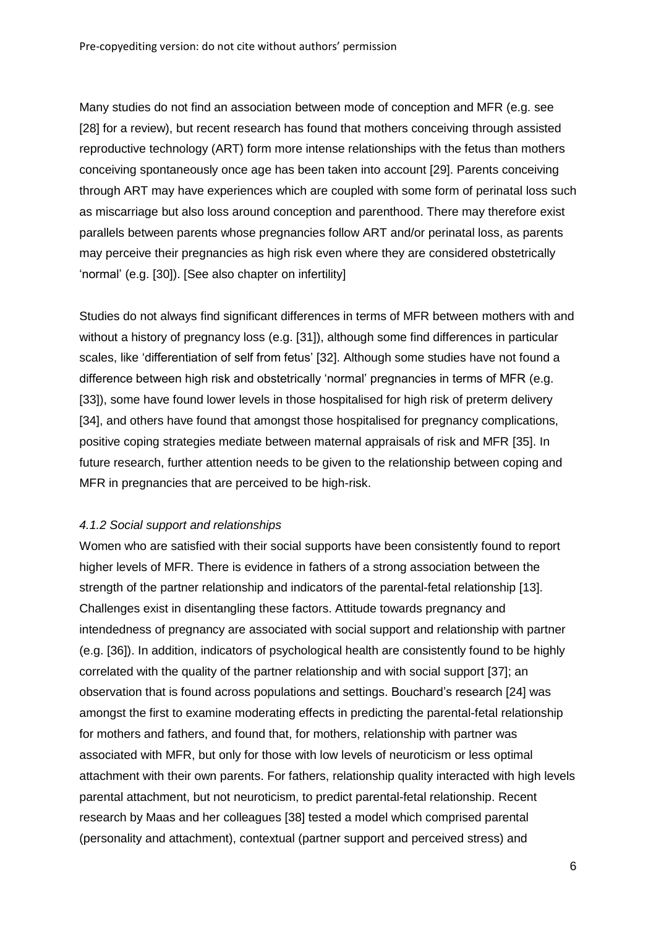Many studies do not find an association between mode of conception and MFR (e.g. see [28] for a review), but recent research has found that mothers conceiving through assisted reproductive technology (ART) form more intense relationships with the fetus than mothers conceiving spontaneously once age has been taken into account [29]. Parents conceiving through ART may have experiences which are coupled with some form of perinatal loss such as miscarriage but also loss around conception and parenthood. There may therefore exist parallels between parents whose pregnancies follow ART and/or perinatal loss, as parents may perceive their pregnancies as high risk even where they are considered obstetrically 'normal' (e.g. [30]). [See also chapter on infertility]

Studies do not always find significant differences in terms of MFR between mothers with and without a history of pregnancy loss (e.g. [31]), although some find differences in particular scales, like 'differentiation of self from fetus' [32]. Although some studies have not found a difference between high risk and obstetrically 'normal' pregnancies in terms of MFR (e.g. [33]), some have found lower levels in those hospitalised for high risk of preterm delivery [34], and others have found that amongst those hospitalised for pregnancy complications, positive coping strategies mediate between maternal appraisals of risk and MFR [35]. In future research, further attention needs to be given to the relationship between coping and MFR in pregnancies that are perceived to be high-risk.

## *4.1.2 Social support and relationships*

Women who are satisfied with their social supports have been consistently found to report higher levels of MFR. There is evidence in fathers of a strong association between the strength of the partner relationship and indicators of the parental-fetal relationship [13]. Challenges exist in disentangling these factors. Attitude towards pregnancy and intendedness of pregnancy are associated with social support and relationship with partner (e.g. [36]). In addition, indicators of psychological health are consistently found to be highly correlated with the quality of the partner relationship and with social support [37]; an observation that is found across populations and settings. Bouchard's research [24] was amongst the first to examine moderating effects in predicting the parental-fetal relationship for mothers and fathers, and found that, for mothers, relationship with partner was associated with MFR, but only for those with low levels of neuroticism or less optimal attachment with their own parents. For fathers, relationship quality interacted with high levels parental attachment, but not neuroticism, to predict parental-fetal relationship. Recent research by Maas and her colleagues [38] tested a model which comprised parental (personality and attachment), contextual (partner support and perceived stress) and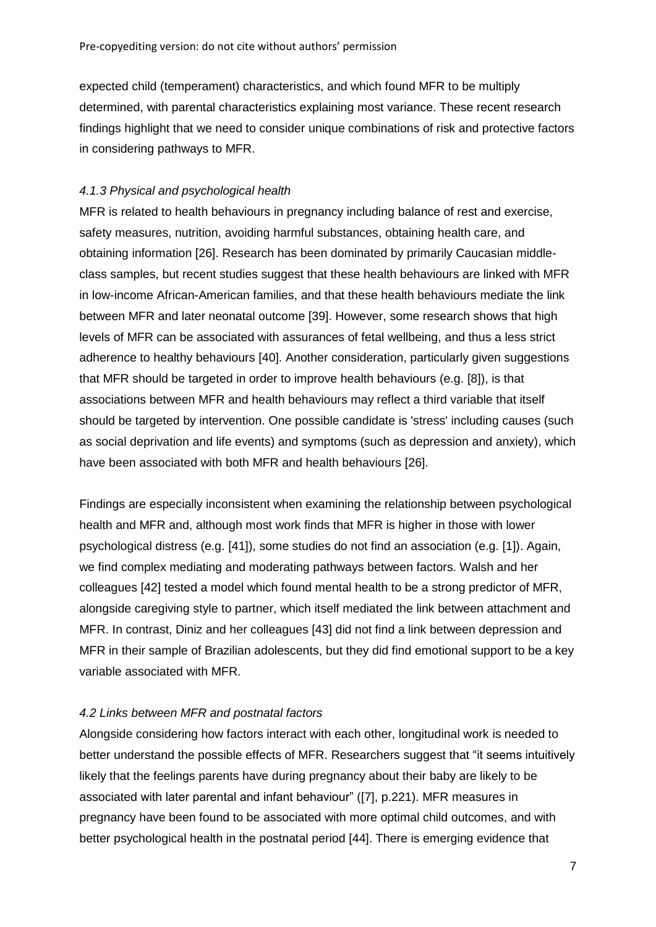expected child (temperament) characteristics, and which found MFR to be multiply determined, with parental characteristics explaining most variance. These recent research findings highlight that we need to consider unique combinations of risk and protective factors in considering pathways to MFR.

## *4.1.3 Physical and psychological health*

MFR is related to health behaviours in pregnancy including balance of rest and exercise, safety measures, nutrition, avoiding harmful substances, obtaining health care, and obtaining information [26]. Research has been dominated by primarily Caucasian middleclass samples, but recent studies suggest that these health behaviours are linked with MFR in low-income African-American families, and that these health behaviours mediate the link between MFR and later neonatal outcome [39]. However, some research shows that high levels of MFR can be associated with assurances of fetal wellbeing, and thus a less strict adherence to healthy behaviours [40]. Another consideration, particularly given suggestions that MFR should be targeted in order to improve health behaviours (e.g. [8]), is that associations between MFR and health behaviours may reflect a third variable that itself should be targeted by intervention. One possible candidate is 'stress' including causes (such as social deprivation and life events) and symptoms (such as depression and anxiety), which have been associated with both MFR and health behaviours [26].

Findings are especially inconsistent when examining the relationship between psychological health and MFR and, although most work finds that MFR is higher in those with lower psychological distress (e.g. [41]), some studies do not find an association (e.g. [1]). Again, we find complex mediating and moderating pathways between factors. Walsh and her colleagues [42] tested a model which found mental health to be a strong predictor of MFR, alongside caregiving style to partner, which itself mediated the link between attachment and MFR. In contrast, Diniz and her colleagues [43] did not find a link between depression and MFR in their sample of Brazilian adolescents, but they did find emotional support to be a key variable associated with MFR.

## *4.2 Links between MFR and postnatal factors*

Alongside considering how factors interact with each other, longitudinal work is needed to better understand the possible effects of MFR. Researchers suggest that "it seems intuitively likely that the feelings parents have during pregnancy about their baby are likely to be associated with later parental and infant behaviour" ([7], p.221). MFR measures in pregnancy have been found to be associated with more optimal child outcomes, and with better psychological health in the postnatal period [44]. There is emerging evidence that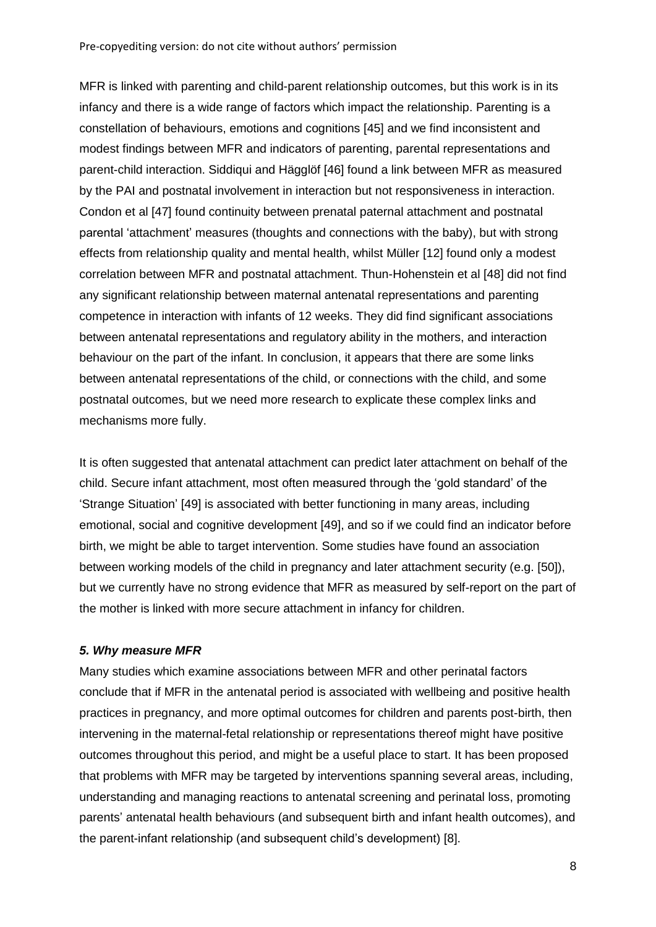MFR is linked with parenting and child-parent relationship outcomes, but this work is in its infancy and there is a wide range of factors which impact the relationship. Parenting is a constellation of behaviours, emotions and cognitions [45] and we find inconsistent and modest findings between MFR and indicators of parenting, parental representations and parent-child interaction. Siddiqui and Hägglöf [46] found a link between MFR as measured by the PAI and postnatal involvement in interaction but not responsiveness in interaction. Condon et al [47] found continuity between prenatal paternal attachment and postnatal parental 'attachment' measures (thoughts and connections with the baby), but with strong effects from relationship quality and mental health, whilst Müller [12] found only a modest correlation between MFR and postnatal attachment. Thun-Hohenstein et al [48] did not find any significant relationship between maternal antenatal representations and parenting competence in interaction with infants of 12 weeks. They did find significant associations between antenatal representations and regulatory ability in the mothers, and interaction behaviour on the part of the infant. In conclusion, it appears that there are some links between antenatal representations of the child, or connections with the child, and some postnatal outcomes, but we need more research to explicate these complex links and mechanisms more fully.

It is often suggested that antenatal attachment can predict later attachment on behalf of the child. Secure infant attachment, most often measured through the 'gold standard' of the 'Strange Situation' [49] is associated with better functioning in many areas, including emotional, social and cognitive development [49], and so if we could find an indicator before birth, we might be able to target intervention. Some studies have found an association between working models of the child in pregnancy and later attachment security (e.g. [50]), but we currently have no strong evidence that MFR as measured by self-report on the part of the mother is linked with more secure attachment in infancy for children.

## *5. Why measure MFR*

Many studies which examine associations between MFR and other perinatal factors conclude that if MFR in the antenatal period is associated with wellbeing and positive health practices in pregnancy, and more optimal outcomes for children and parents post-birth, then intervening in the maternal-fetal relationship or representations thereof might have positive outcomes throughout this period, and might be a useful place to start. It has been proposed that problems with MFR may be targeted by interventions spanning several areas, including, understanding and managing reactions to antenatal screening and perinatal loss, promoting parents' antenatal health behaviours (and subsequent birth and infant health outcomes), and the parent-infant relationship (and subsequent child's development) [8].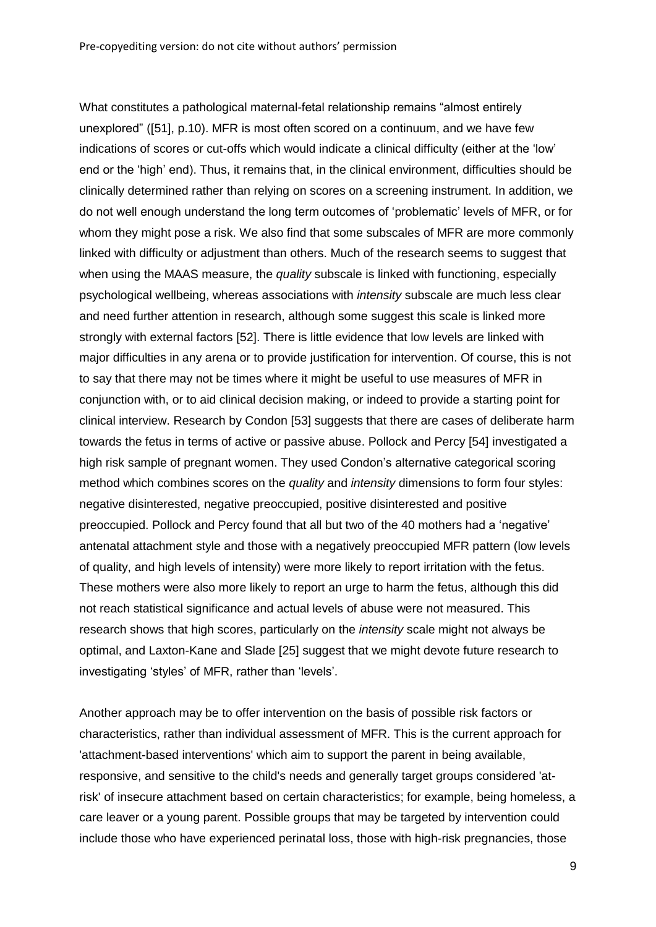What constitutes a pathological maternal-fetal relationship remains "almost entirely unexplored" ([51], p.10). MFR is most often scored on a continuum, and we have few indications of scores or cut-offs which would indicate a clinical difficulty (either at the 'low' end or the 'high' end). Thus, it remains that, in the clinical environment, difficulties should be clinically determined rather than relying on scores on a screening instrument. In addition, we do not well enough understand the long term outcomes of 'problematic' levels of MFR, or for whom they might pose a risk. We also find that some subscales of MFR are more commonly linked with difficulty or adjustment than others. Much of the research seems to suggest that when using the MAAS measure, the *quality* subscale is linked with functioning, especially psychological wellbeing, whereas associations with *intensity* subscale are much less clear and need further attention in research, although some suggest this scale is linked more strongly with external factors [52]. There is little evidence that low levels are linked with major difficulties in any arena or to provide justification for intervention. Of course, this is not to say that there may not be times where it might be useful to use measures of MFR in conjunction with, or to aid clinical decision making, or indeed to provide a starting point for clinical interview. Research by Condon [53] suggests that there are cases of deliberate harm towards the fetus in terms of active or passive abuse. Pollock and Percy [54] investigated a high risk sample of pregnant women. They used Condon's alternative categorical scoring method which combines scores on the *quality* and *intensity* dimensions to form four styles: negative disinterested, negative preoccupied, positive disinterested and positive preoccupied. Pollock and Percy found that all but two of the 40 mothers had a 'negative' antenatal attachment style and those with a negatively preoccupied MFR pattern (low levels of quality, and high levels of intensity) were more likely to report irritation with the fetus. These mothers were also more likely to report an urge to harm the fetus, although this did not reach statistical significance and actual levels of abuse were not measured. This research shows that high scores, particularly on the *intensity* scale might not always be optimal, and Laxton-Kane and Slade [25] suggest that we might devote future research to investigating 'styles' of MFR, rather than 'levels'.

Another approach may be to offer intervention on the basis of possible risk factors or characteristics, rather than individual assessment of MFR. This is the current approach for 'attachment-based interventions' which aim to support the parent in being available, responsive, and sensitive to the child's needs and generally target groups considered 'atrisk' of insecure attachment based on certain characteristics; for example, being homeless, a care leaver or a young parent. Possible groups that may be targeted by intervention could include those who have experienced perinatal loss, those with high-risk pregnancies, those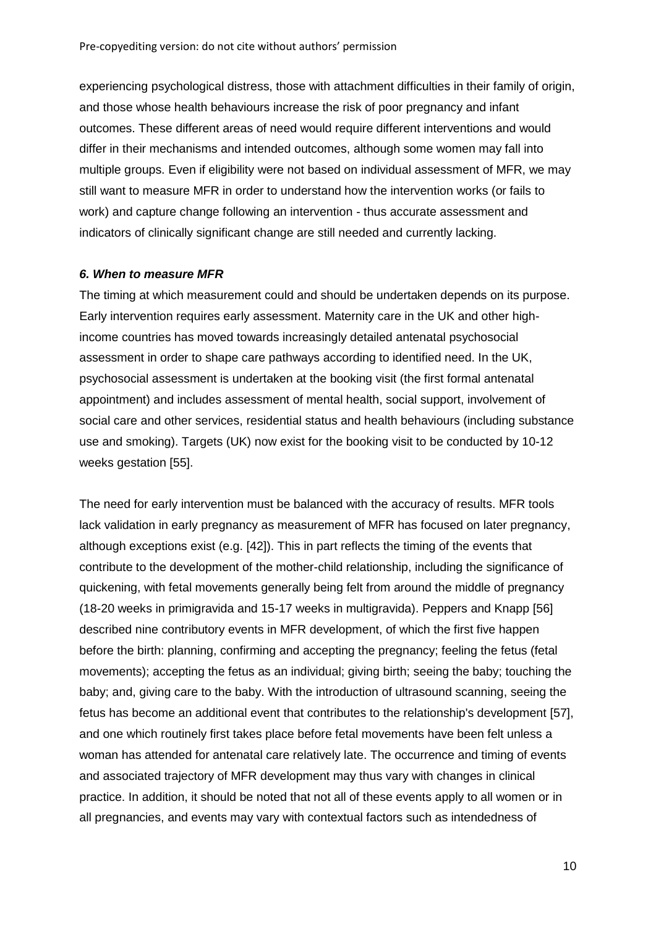experiencing psychological distress, those with attachment difficulties in their family of origin, and those whose health behaviours increase the risk of poor pregnancy and infant outcomes. These different areas of need would require different interventions and would differ in their mechanisms and intended outcomes, although some women may fall into multiple groups. Even if eligibility were not based on individual assessment of MFR, we may still want to measure MFR in order to understand how the intervention works (or fails to work) and capture change following an intervention - thus accurate assessment and indicators of clinically significant change are still needed and currently lacking.

#### *6. When to measure MFR*

The timing at which measurement could and should be undertaken depends on its purpose. Early intervention requires early assessment. Maternity care in the UK and other highincome countries has moved towards increasingly detailed antenatal psychosocial assessment in order to shape care pathways according to identified need. In the UK, psychosocial assessment is undertaken at the booking visit (the first formal antenatal appointment) and includes assessment of mental health, social support, involvement of social care and other services, residential status and health behaviours (including substance use and smoking). Targets (UK) now exist for the booking visit to be conducted by 10-12 weeks gestation [55].

The need for early intervention must be balanced with the accuracy of results. MFR tools lack validation in early pregnancy as measurement of MFR has focused on later pregnancy, although exceptions exist (e.g. [42]). This in part reflects the timing of the events that contribute to the development of the mother-child relationship, including the significance of quickening, with fetal movements generally being felt from around the middle of pregnancy (18-20 weeks in primigravida and 15-17 weeks in multigravida). Peppers and Knapp [56] described nine contributory events in MFR development, of which the first five happen before the birth: planning, confirming and accepting the pregnancy; feeling the fetus (fetal movements); accepting the fetus as an individual; giving birth; seeing the baby; touching the baby; and, giving care to the baby. With the introduction of ultrasound scanning, seeing the fetus has become an additional event that contributes to the relationship's development [57], and one which routinely first takes place before fetal movements have been felt unless a woman has attended for antenatal care relatively late. The occurrence and timing of events and associated trajectory of MFR development may thus vary with changes in clinical practice. In addition, it should be noted that not all of these events apply to all women or in all pregnancies, and events may vary with contextual factors such as intendedness of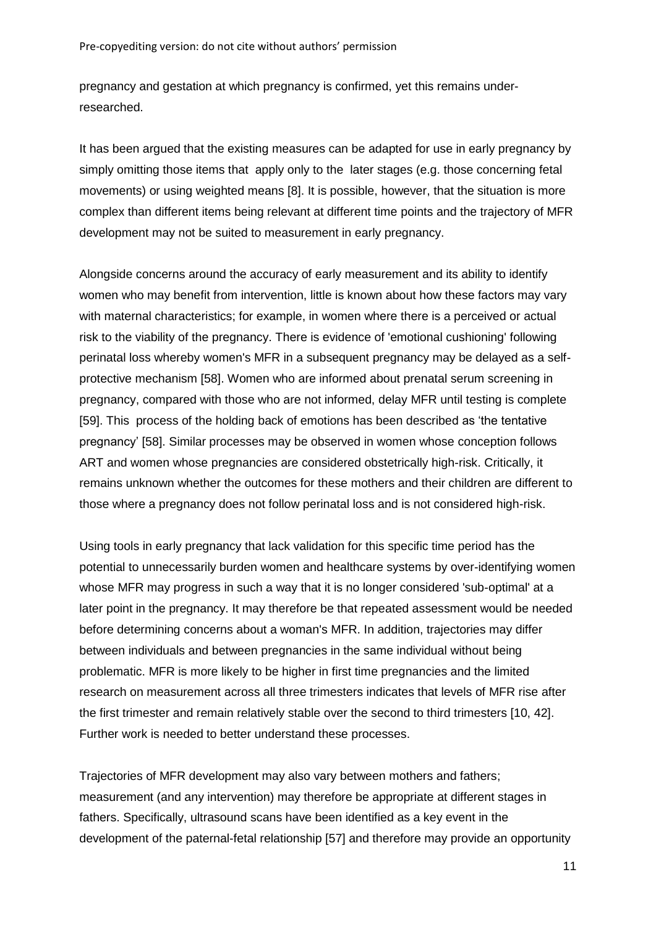pregnancy and gestation at which pregnancy is confirmed, yet this remains underresearched.

It has been argued that the existing measures can be adapted for use in early pregnancy by simply omitting those items that apply only to the later stages (e.g. those concerning fetal movements) or using weighted means [8]. It is possible, however, that the situation is more complex than different items being relevant at different time points and the trajectory of MFR development may not be suited to measurement in early pregnancy.

Alongside concerns around the accuracy of early measurement and its ability to identify women who may benefit from intervention, little is known about how these factors may vary with maternal characteristics; for example, in women where there is a perceived or actual risk to the viability of the pregnancy. There is evidence of 'emotional cushioning' following perinatal loss whereby women's MFR in a subsequent pregnancy may be delayed as a selfprotective mechanism [58]. Women who are informed about prenatal serum screening in pregnancy, compared with those who are not informed, delay MFR until testing is complete [59]. This process of the holding back of emotions has been described as 'the tentative pregnancy' [58]. Similar processes may be observed in women whose conception follows ART and women whose pregnancies are considered obstetrically high-risk. Critically, it remains unknown whether the outcomes for these mothers and their children are different to those where a pregnancy does not follow perinatal loss and is not considered high-risk.

Using tools in early pregnancy that lack validation for this specific time period has the potential to unnecessarily burden women and healthcare systems by over-identifying women whose MFR may progress in such a way that it is no longer considered 'sub-optimal' at a later point in the pregnancy. It may therefore be that repeated assessment would be needed before determining concerns about a woman's MFR. In addition, trajectories may differ between individuals and between pregnancies in the same individual without being problematic. MFR is more likely to be higher in first time pregnancies and the limited research on measurement across all three trimesters indicates that levels of MFR rise after the first trimester and remain relatively stable over the second to third trimesters [10, 42]. Further work is needed to better understand these processes.

Trajectories of MFR development may also vary between mothers and fathers; measurement (and any intervention) may therefore be appropriate at different stages in fathers. Specifically, ultrasound scans have been identified as a key event in the development of the paternal-fetal relationship [57] and therefore may provide an opportunity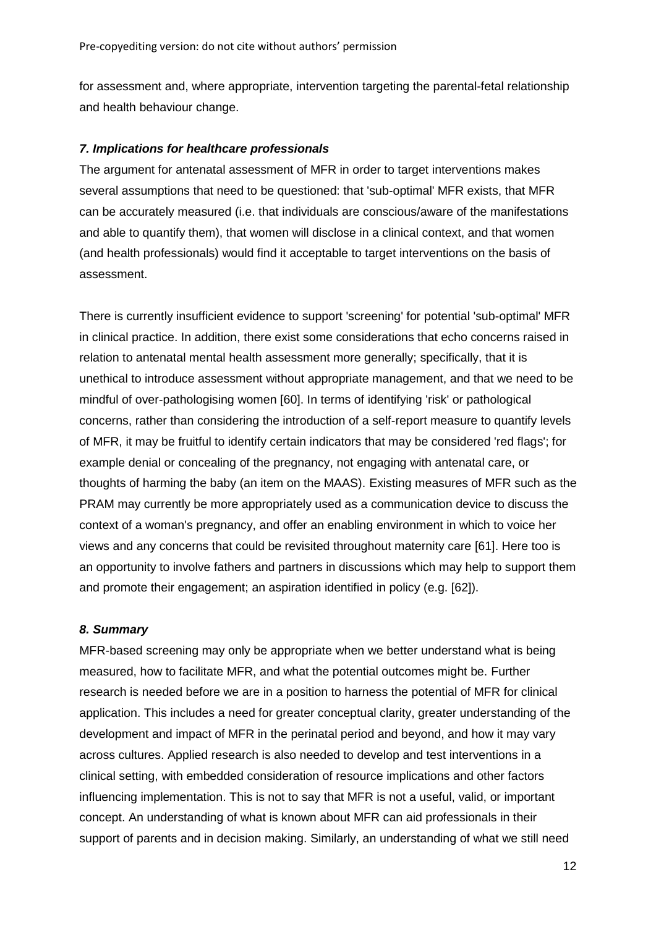for assessment and, where appropriate, intervention targeting the parental-fetal relationship and health behaviour change.

#### *7. Implications for healthcare professionals*

The argument for antenatal assessment of MFR in order to target interventions makes several assumptions that need to be questioned: that 'sub-optimal' MFR exists, that MFR can be accurately measured (i.e. that individuals are conscious/aware of the manifestations and able to quantify them), that women will disclose in a clinical context, and that women (and health professionals) would find it acceptable to target interventions on the basis of assessment.

There is currently insufficient evidence to support 'screening' for potential 'sub-optimal' MFR in clinical practice. In addition, there exist some considerations that echo concerns raised in relation to antenatal mental health assessment more generally; specifically, that it is unethical to introduce assessment without appropriate management, and that we need to be mindful of over-pathologising women [60]. In terms of identifying 'risk' or pathological concerns, rather than considering the introduction of a self-report measure to quantify levels of MFR, it may be fruitful to identify certain indicators that may be considered 'red flags'; for example denial or concealing of the pregnancy, not engaging with antenatal care, or thoughts of harming the baby (an item on the MAAS). Existing measures of MFR such as the PRAM may currently be more appropriately used as a communication device to discuss the context of a woman's pregnancy, and offer an enabling environment in which to voice her views and any concerns that could be revisited throughout maternity care [61]. Here too is an opportunity to involve fathers and partners in discussions which may help to support them and promote their engagement; an aspiration identified in policy (e.g. [62]).

#### *8. Summary*

MFR-based screening may only be appropriate when we better understand what is being measured, how to facilitate MFR, and what the potential outcomes might be. Further research is needed before we are in a position to harness the potential of MFR for clinical application. This includes a need for greater conceptual clarity, greater understanding of the development and impact of MFR in the perinatal period and beyond, and how it may vary across cultures. Applied research is also needed to develop and test interventions in a clinical setting, with embedded consideration of resource implications and other factors influencing implementation. This is not to say that MFR is not a useful, valid, or important concept. An understanding of what is known about MFR can aid professionals in their support of parents and in decision making. Similarly, an understanding of what we still need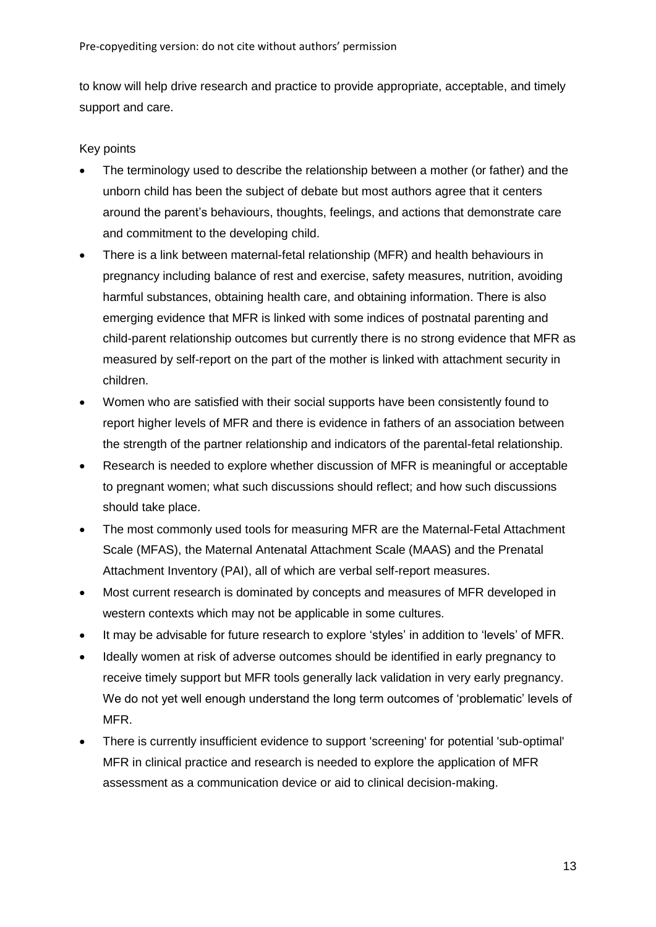to know will help drive research and practice to provide appropriate, acceptable, and timely support and care.

## Key points

- The terminology used to describe the relationship between a mother (or father) and the unborn child has been the subject of debate but most authors agree that it centers around the parent's behaviours, thoughts, feelings, and actions that demonstrate care and commitment to the developing child.
- There is a link between maternal-fetal relationship (MFR) and health behaviours in pregnancy including balance of rest and exercise, safety measures, nutrition, avoiding harmful substances, obtaining health care, and obtaining information. There is also emerging evidence that MFR is linked with some indices of postnatal parenting and child-parent relationship outcomes but currently there is no strong evidence that MFR as measured by self-report on the part of the mother is linked with attachment security in children.
- Women who are satisfied with their social supports have been consistently found to report higher levels of MFR and there is evidence in fathers of an association between the strength of the partner relationship and indicators of the parental-fetal relationship.
- Research is needed to explore whether discussion of MFR is meaningful or acceptable to pregnant women; what such discussions should reflect; and how such discussions should take place.
- The most commonly used tools for measuring MFR are the Maternal-Fetal Attachment Scale (MFAS), the Maternal Antenatal Attachment Scale (MAAS) and the Prenatal Attachment Inventory (PAI), all of which are verbal self-report measures.
- Most current research is dominated by concepts and measures of MFR developed in western contexts which may not be applicable in some cultures.
- It may be advisable for future research to explore 'styles' in addition to 'levels' of MFR.
- Ideally women at risk of adverse outcomes should be identified in early pregnancy to receive timely support but MFR tools generally lack validation in very early pregnancy. We do not yet well enough understand the long term outcomes of 'problematic' levels of MFR.
- There is currently insufficient evidence to support 'screening' for potential 'sub-optimal' MFR in clinical practice and research is needed to explore the application of MFR assessment as a communication device or aid to clinical decision-making.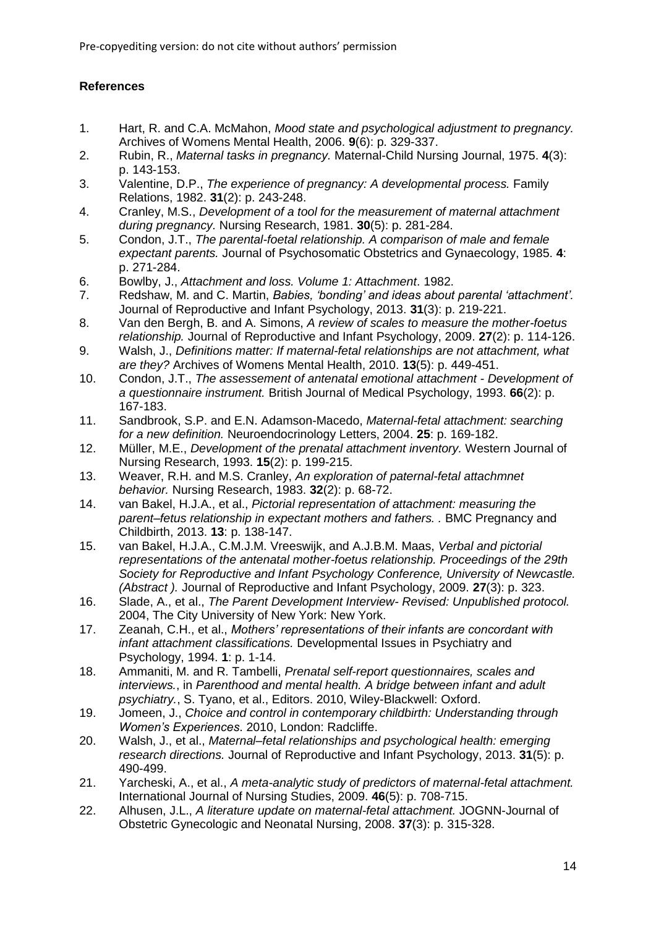# **References**

- 1. Hart, R. and C.A. McMahon, *Mood state and psychological adjustment to pregnancy.* Archives of Womens Mental Health, 2006. **9**(6): p. 329-337.
- 2. Rubin, R., *Maternal tasks in pregnancy.* Maternal-Child Nursing Journal, 1975. **4**(3): p. 143-153.
- 3. Valentine, D.P., *The experience of pregnancy: A developmental process.* Family Relations, 1982. **31**(2): p. 243-248.
- 4. Cranley, M.S., *Development of a tool for the measurement of maternal attachment during pregnancy.* Nursing Research, 1981. **30**(5): p. 281-284.
- 5. Condon, J.T., *The parental-foetal relationship. A comparison of male and female expectant parents.* Journal of Psychosomatic Obstetrics and Gynaecology, 1985. **4**: p. 271-284.
- 6. Bowlby, J., *Attachment and loss. Volume 1: Attachment*. 1982.
- 7. Redshaw, M. and C. Martin, *Babies, 'bonding' and ideas about parental 'attachment'.* Journal of Reproductive and Infant Psychology, 2013. **31**(3): p. 219-221.
- 8. Van den Bergh, B. and A. Simons, *A review of scales to measure the mother-foetus relationship.* Journal of Reproductive and Infant Psychology, 2009. **27**(2): p. 114-126.
- 9. Walsh, J., *Definitions matter: If maternal-fetal relationships are not attachment, what are they?* Archives of Womens Mental Health, 2010. **13**(5): p. 449-451.
- 10. Condon, J.T., *The assessement of antenatal emotional attachment - Development of a questionnaire instrument.* British Journal of Medical Psychology, 1993. **66**(2): p. 167-183.
- 11. Sandbrook, S.P. and E.N. Adamson-Macedo, *Maternal-fetal attachment: searching for a new definition.* Neuroendocrinology Letters, 2004. **25**: p. 169-182.
- 12. Müller, M.E., *Development of the prenatal attachment inventory.* Western Journal of Nursing Research, 1993. **15**(2): p. 199-215.
- 13. Weaver, R.H. and M.S. Cranley, *An exploration of paternal-fetal attachmnet behavior.* Nursing Research, 1983. **32**(2): p. 68-72.
- 14. van Bakel, H.J.A., et al., *Pictorial representation of attachment: measuring the parent–fetus relationship in expectant mothers and fathers. .* BMC Pregnancy and Childbirth, 2013. **13**: p. 138-147.
- 15. van Bakel, H.J.A., C.M.J.M. Vreeswijk, and A.J.B.M. Maas, *Verbal and pictorial representations of the antenatal mother-foetus relationship. Proceedings of the 29th Society for Reproductive and Infant Psychology Conference, University of Newcastle. (Abstract ).* Journal of Reproductive and Infant Psychology, 2009. **27**(3): p. 323.
- 16. Slade, A., et al., *The Parent Development Interview- Revised: Unpublished protocol.* 2004, The City University of New York: New York.
- 17. Zeanah, C.H., et al., *Mothers' representations of their infants are concordant with infant attachment classifications.* Developmental Issues in Psychiatry and Psychology, 1994. **1**: p. 1-14.
- 18. Ammaniti, M. and R. Tambelli, *Prenatal self-report questionnaires, scales and interviews.*, in *Parenthood and mental health. A bridge between infant and adult psychiatry.*, S. Tyano, et al., Editors. 2010, Wiley-Blackwell: Oxford.
- 19. Jomeen, J., *Choice and control in contemporary childbirth: Understanding through Women's Experiences*. 2010, London: Radcliffe.
- 20. Walsh, J., et al., *Maternal–fetal relationships and psychological health: emerging research directions.* Journal of Reproductive and Infant Psychology, 2013. **31**(5): p. 490-499.
- 21. Yarcheski, A., et al., *A meta-analytic study of predictors of maternal-fetal attachment.* International Journal of Nursing Studies, 2009. **46**(5): p. 708-715.
- 22. Alhusen, J.L., *A literature update on maternal-fetal attachment.* JOGNN-Journal of Obstetric Gynecologic and Neonatal Nursing, 2008. **37**(3): p. 315-328.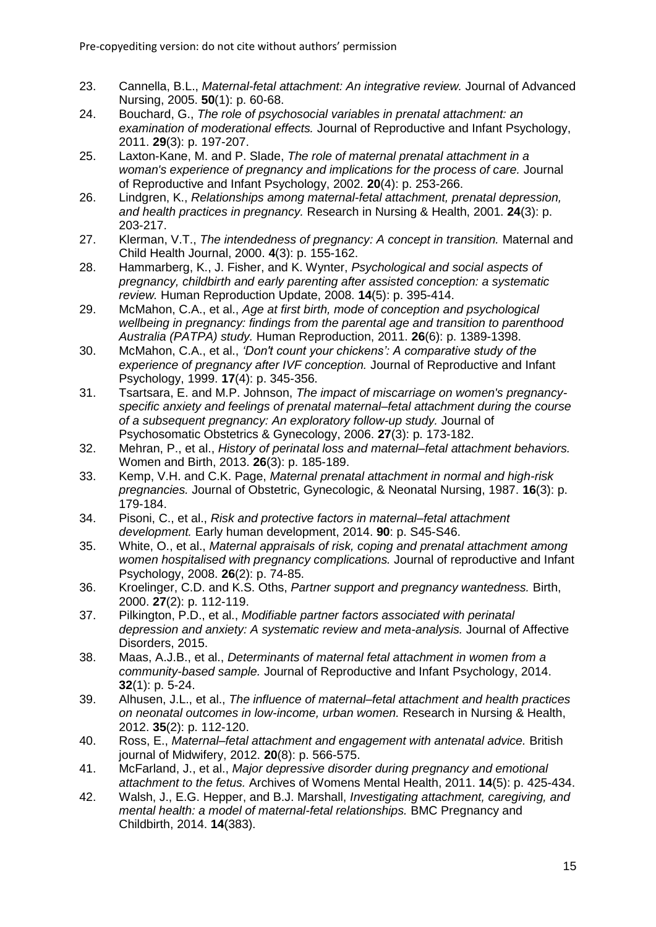- 23. Cannella, B.L., *Maternal-fetal attachment: An integrative review.* Journal of Advanced Nursing, 2005. **50**(1): p. 60-68.
- 24. Bouchard, G., *The role of psychosocial variables in prenatal attachment: an examination of moderational effects.* Journal of Reproductive and Infant Psychology, 2011. **29**(3): p. 197-207.
- 25. Laxton-Kane, M. and P. Slade, *The role of maternal prenatal attachment in a woman's experience of pregnancy and implications for the process of care.* Journal of Reproductive and Infant Psychology, 2002. **20**(4): p. 253-266.
- 26. Lindgren, K., *Relationships among maternal-fetal attachment, prenatal depression, and health practices in pregnancy.* Research in Nursing & Health, 2001. **24**(3): p. 203-217.
- 27. Klerman, V.T., *The intendedness of pregnancy: A concept in transition.* Maternal and Child Health Journal, 2000. **4**(3): p. 155-162.
- 28. Hammarberg, K., J. Fisher, and K. Wynter, *Psychological and social aspects of pregnancy, childbirth and early parenting after assisted conception: a systematic review.* Human Reproduction Update, 2008. **14**(5): p. 395-414.
- 29. McMahon, C.A., et al., *Age at first birth, mode of conception and psychological wellbeing in pregnancy: findings from the parental age and transition to parenthood Australia (PATPA) study.* Human Reproduction, 2011. **26**(6): p. 1389-1398.
- 30. McMahon, C.A., et al., *'Don't count your chickens': A comparative study of the experience of pregnancy after IVF conception.* Journal of Reproductive and Infant Psychology, 1999. **17**(4): p. 345-356.
- 31. Tsartsara, E. and M.P. Johnson, *The impact of miscarriage on women's pregnancyspecific anxiety and feelings of prenatal maternal–fetal attachment during the course of a subsequent pregnancy: An exploratory follow-up study.* Journal of Psychosomatic Obstetrics & Gynecology, 2006. **27**(3): p. 173-182.
- 32. Mehran, P., et al., *History of perinatal loss and maternal–fetal attachment behaviors.* Women and Birth, 2013. **26**(3): p. 185-189.
- 33. Kemp, V.H. and C.K. Page, *Maternal prenatal attachment in normal and high-risk pregnancies.* Journal of Obstetric, Gynecologic, & Neonatal Nursing, 1987. **16**(3): p. 179-184.
- 34. Pisoni, C., et al., *Risk and protective factors in maternal–fetal attachment development.* Early human development, 2014. **90**: p. S45-S46.
- 35. White, O., et al., *Maternal appraisals of risk, coping and prenatal attachment among women hospitalised with pregnancy complications.* Journal of reproductive and Infant Psychology, 2008. **26**(2): p. 74-85.
- 36. Kroelinger, C.D. and K.S. Oths, *Partner support and pregnancy wantedness.* Birth, 2000. **27**(2): p. 112-119.
- 37. Pilkington, P.D., et al., *Modifiable partner factors associated with perinatal depression and anxiety: A systematic review and meta-analysis.* Journal of Affective Disorders, 2015.
- 38. Maas, A.J.B., et al., *Determinants of maternal fetal attachment in women from a community-based sample.* Journal of Reproductive and Infant Psychology, 2014. **32**(1): p. 5-24.
- 39. Alhusen, J.L., et al., *The influence of maternal–fetal attachment and health practices on neonatal outcomes in low-income, urban women.* Research in Nursing & Health, 2012. **35**(2): p. 112-120.
- 40. Ross, E., *Maternal–fetal attachment and engagement with antenatal advice.* British journal of Midwifery, 2012. **20**(8): p. 566-575.
- 41. McFarland, J., et al., *Major depressive disorder during pregnancy and emotional attachment to the fetus.* Archives of Womens Mental Health, 2011. **14**(5): p. 425-434.
- 42. Walsh, J., E.G. Hepper, and B.J. Marshall, *Investigating attachment, caregiving, and mental health: a model of maternal-fetal relationships.* BMC Pregnancy and Childbirth, 2014. **14**(383).